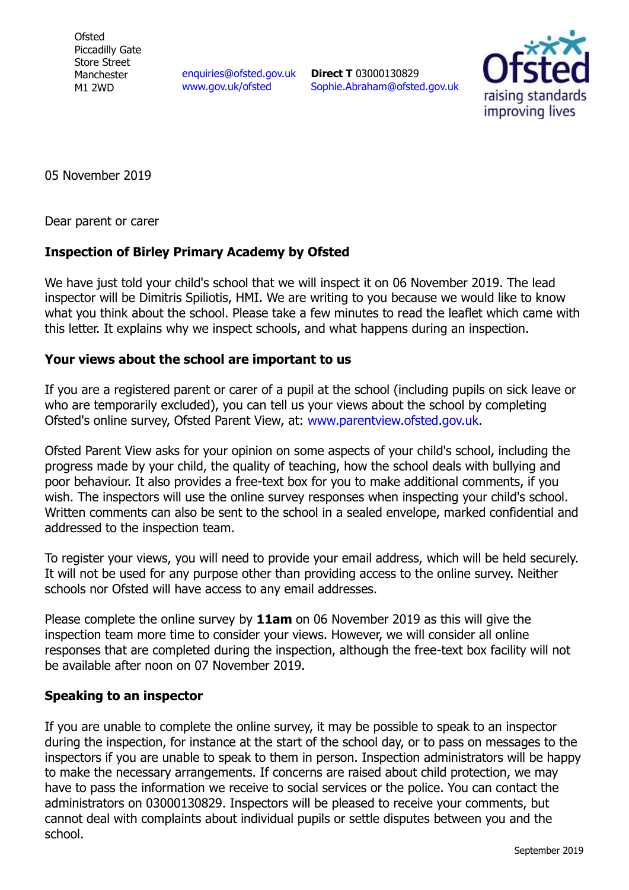**Ofsted** Piccadilly Gate Store Street Manchester M1 2WD

[enquiries@ofsted.gov.uk](mailto:enquiries@ofsted.gov.uk) [www.gov.uk/ofsted](http://www.gov.uk/ofsted)

**Direct T** 03000130829 [Sophie.Abraham@ofsted.gov.uk](mailto:Sophie.Abraham@ofsted.gov.uk)



05 November 2019

Dear parent or carer

## **Inspection of Birley Primary Academy by Ofsted**

We have just told your child's school that we will inspect it on 06 November 2019. The lead inspector will be Dimitris Spiliotis, HMI. We are writing to you because we would like to know what you think about the school. Please take a few minutes to read the leaflet which came with this letter. It explains why we inspect schools, and what happens during an inspection.

## **Your views about the school are important to us**

If you are a registered parent or carer of a pupil at the school (including pupils on sick leave or who are temporarily excluded), you can tell us your views about the school by completing Ofsted's online survey, Ofsted Parent View, at: [www.parentview.ofsted.gov.uk.](http://www.parentview.ofsted.gov.uk/)

Ofsted Parent View asks for your opinion on some aspects of your child's school, including the progress made by your child, the quality of teaching, how the school deals with bullying and poor behaviour. It also provides a free-text box for you to make additional comments, if you wish. The inspectors will use the online survey responses when inspecting your child's school. Written comments can also be sent to the school in a sealed envelope, marked confidential and addressed to the inspection team.

To register your views, you will need to provide your email address, which will be held securely. It will not be used for any purpose other than providing access to the online survey. Neither schools nor Ofsted will have access to any email addresses.

Please complete the online survey by **11am** on 06 November 2019 as this will give the inspection team more time to consider your views. However, we will consider all online responses that are completed during the inspection, although the free-text box facility will not be available after noon on 07 November 2019.

## **Speaking to an inspector**

If you are unable to complete the online survey, it may be possible to speak to an inspector during the inspection, for instance at the start of the school day, or to pass on messages to the inspectors if you are unable to speak to them in person. Inspection administrators will be happy to make the necessary arrangements. If concerns are raised about child protection, we may have to pass the information we receive to social services or the police. You can contact the administrators on 03000130829. Inspectors will be pleased to receive your comments, but cannot deal with complaints about individual pupils or settle disputes between you and the school.